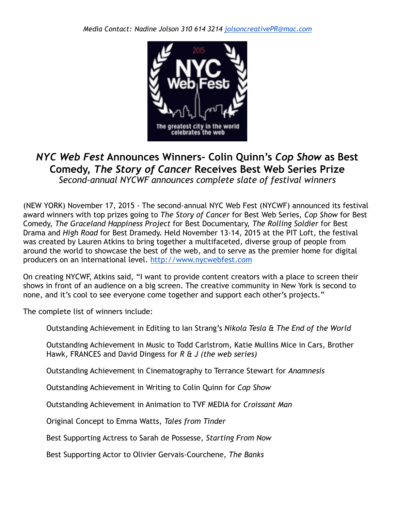

## *NYC Web Fest* **Announces Winners- Colin Quinn's** *Cop Show* **as Best Comedy,** *The Story of Cancer* **Receives Best Web Series Prize** *Second-annual NYCWF announces complete slate of festival winners*

(NEW YORK) November 17, 2015 - The second-annual NYC Web Fest (NYCWF) announced its festival award winners with top prizes going to *The Story of Cancer* for Best Web Series*, Cop Show* for Best Comedy, *The Graceland Happiness Project* for Best Documentary, *The Rolling Soldier* for Best Drama and *High Road* for Best Dramedy. Held November 13-14, 2015 at the PIT Loft, the festival was created by Lauren Atkins to bring together a multifaceted, diverse group of people from around the world to showcase the best of the web, and to serve as the premier home for digital producers on an international level.<http://www.nycwebfest.com>

On creating NYCWF, Atkins said, "I want to provide content creators with a place to screen their shows in front of an audience on a big screen. The creative community in New York is second to none, and it's cool to see everyone come together and support each other's projects."

The complete list of winners include:

Outstanding Achievement in Editing to Ian Strang's *Nikola Tesla & The End of the World*

Outstanding Achievement in Music to Todd Carlstrom, Katie Mullins Mice in Cars, Brother Hawk, FRANCES and David Dingess for *R & J (the web series)*

Outstanding Achievement in Cinematography to Terrance Stewart for *Anamnesis*

Outstanding Achievement in Writing to Colin Quinn for *Cop Show*

Outstanding Achievement in Animation to TVF MEDIA for *Croissant Man*

Original Concept to Emma Watts, *Tales from Tinder*

Best Supporting Actress to Sarah de Possesse, *Starting From Now*

Best Supporting Actor to Olivier Gervais-Courchene, *The Banks*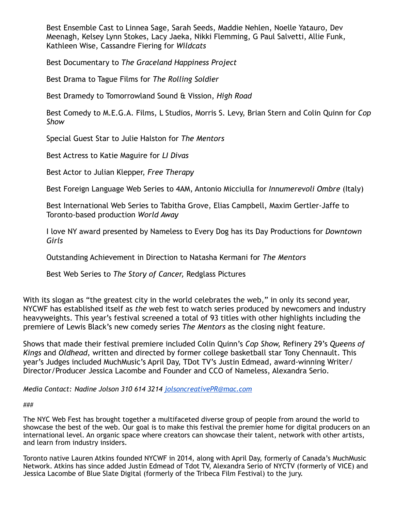Best Ensemble Cast to Linnea Sage, Sarah Seeds, Maddie Nehlen, Noelle Yatauro, Dev Meenagh, Kelsey Lynn Stokes, Lacy Jaeka, Nikki Flemming, G Paul Salvetti, Allie Funk, Kathleen Wise, Cassandre Fiering for *Wildcats*

Best Documentary to *The Graceland Happiness Project*

Best Drama to Tague Films for *The Rolling Soldier*

Best Dramedy to Tomorrowland Sound & Vission, *High Road*

Best Comedy to M.E.G.A. Films, L Studios, Morris S. Levy, Brian Stern and Colin Quinn for *Cop Show*

Special Guest Star to Julie Halston for *The Mentors*

Best Actress to Katie Maguire for *LI Divas*

Best Actor to Julian Klepper, *Free Therapy*

Best Foreign Language Web Series to 4AM, Antonio Micciulla for *Innumerevoli Ombre* (Italy)

Best International Web Series to Tabitha Grove, Elias Campbell, Maxim Gertler-Jaffe to Toronto-based production *World Away*

I love NY award presented by Nameless to Every Dog has its Day Productions for *Downtown Girls*

Outstanding Achievement in Direction to Natasha Kermani for *The Mentors*

Best Web Series to *The Story of Cancer,* Redglass Pictures

With its slogan as "the greatest city in the world celebrates the web," in only its second year, NYCWF has established itself as *the* web fest to watch series produced by newcomers and industry heavyweights. This year's festival screened a total of 93 titles with other highlights including the premiere of Lewis Black's new comedy series *The Mentors* as the closing night feature*.*

Shows that made their festival premiere included Colin Quinn's *Cop Show,* Refinery 29's *Queens of Kings* and *Oldhead,* written and directed by former college basketball star Tony Chennault. This year's Judges included MuchMusic's April Day, TDot TV's Justin Edmead, award-winning Writer/ Director/Producer Jessica Lacombe and Founder and CCO of Nameless, Alexandra Serio.

*Media Contact: Nadine Jolson 310 614 3214 [jolsoncreativePR@mac.com](mailto:jolsoncreativePR@mac.com)*

###

The NYC Web Fest has brought together a multifaceted diverse group of people from around the world to showcase the best of the web. Our goal is to make this festival the premier home for digital producers on an international level. An organic space where creators can showcase their talent, network with other artists, and learn from industry insiders.

Toronto native Lauren Atkins founded NYCWF in 2014, along with April Day, formerly of Canada's MuchMusic Network. Atkins has since added Justin Edmead of Tdot TV, Alexandra Serio of NYCTV (formerly of VICE) and Jessica Lacombe of Blue Slate Digital (formerly of the Tribeca Film Festival) to the jury.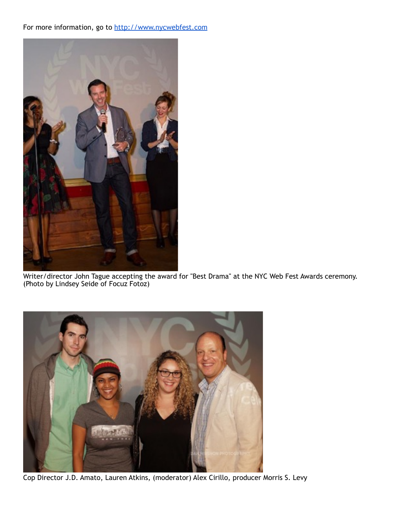## For more information, go to<http://www.nycwebfest.com>



Writer/director John Tague accepting the award for "Best Drama" at the NYC Web Fest Awards ceremony. (Photo by Lindsey Seide of Focuz Fotoz)



Cop Director J.D. Amato, Lauren Atkins, (moderator) Alex Cirillo, producer Morris S. Levy